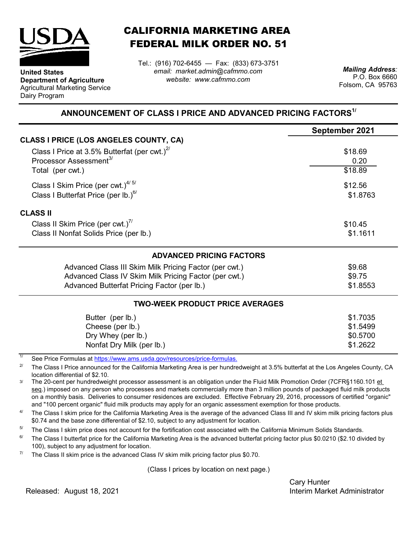

**Department of Agriculture** Agricultural Marketing Service

**United States**

Dairy Program

CALIFORNIA MARKETING AREA FEDERAL MILK ORDER NO. 51

*email: market.admin@cafmmo.com website: www.cafmmo.com* Tel.: (916) 702-6455 — Fax: (833) 673-3751 *Mailing Address:*

P.O. Box 6660 Folsom, CA 95763

## **ANNOUNCEMENT OF CLASS I PRICE AND ADVANCED PRICING FACTORS1/**

|                                                               | September 2021 |  |  |
|---------------------------------------------------------------|----------------|--|--|
| <b>CLASS I PRICE (LOS ANGELES COUNTY, CA)</b>                 |                |  |  |
| Class I Price at 3.5% Butterfat (per cwt.) $2^{\prime\prime}$ | \$18.69        |  |  |
| Processor Assessment <sup>3/</sup>                            | 0.20           |  |  |
| Total (per cwt.)                                              | \$18.89        |  |  |
| Class I Skim Price (per cwt.) <sup>4/5/</sup>                 | \$12.56        |  |  |
| Class I Butterfat Price (per lb.) $^{6/}$                     | \$1.8763       |  |  |
| <b>CLASS II</b>                                               |                |  |  |
| Class II Skim Price (per cwt.)"                               | \$10.45        |  |  |
| Class II Nonfat Solids Price (per lb.)                        | \$1.1611       |  |  |
| <b>ADVANCED PRICING FACTORS</b>                               |                |  |  |
| Advanced Class III Skim Milk Pricing Factor (per cwt.)        | \$9.68         |  |  |
| Advanced Class IV Skim Milk Pricing Factor (per cwt.)         | \$9.75         |  |  |
| Advanced Butterfat Pricing Factor (per lb.)                   | \$1.8553       |  |  |
| <b>TWO-WEEK PRODUCT PRICE AVERAGES</b>                        |                |  |  |
| Butter (per lb.)                                              | \$1.7035       |  |  |
| Cheese (per lb.)                                              | \$1.5499       |  |  |
| Dry Whey (per lb.)                                            | \$0.5700       |  |  |
| Nonfat Dry Milk (per lb.)                                     | \$1.2622       |  |  |
|                                                               |                |  |  |

1/ [See Price Formulas at h](https://www.ams.usda.gov/resources/price-formulas)ttps://www.ams.usda.gov/resources/price-formulas.

2/ The Class I Price announced for the California Marketing Area is per hundredweight at 3.5% butterfat at the Los Angeles County, CA location differential of \$2.10.

3/ The 20-cent per hundredweight processor assessment is an obligation under the Fluid Milk Promotion Order (7CFR§1160.101 et seq.) imposed on any person who processes and markets commercially more than 3 million pounds of packaged fluid milk products on a monthly basis. Deliveries to consumer residences are excluded. Effective February 29, 2016, processors of certified "organic" and "100 percent organic" fluid milk products may apply for an organic assessment exemption for those products.

 $\Delta l$ The Class I skim price for the California Marketing Area is the average of the advanced Class III and IV skim milk pricing factors plus \$0.74 and the base zone differential of \$2.10, subject to any adjustment for location.

5/ The Class I skim price does not account for the fortification cost associated with the California Minimum Solids Standards.

 $6/$ The Class I butterfat price for the California Marketing Area is the advanced butterfat pricing factor plus \$0.0210 (\$2.10 divided by 100), subject to any adjustment for location.

7/ The Class II skim price is the advanced Class IV skim milk pricing factor plus \$0.70.

(Class I prices by location on next page.)

Cary Hunter Released: Interim Market Administrator August 18, 2021